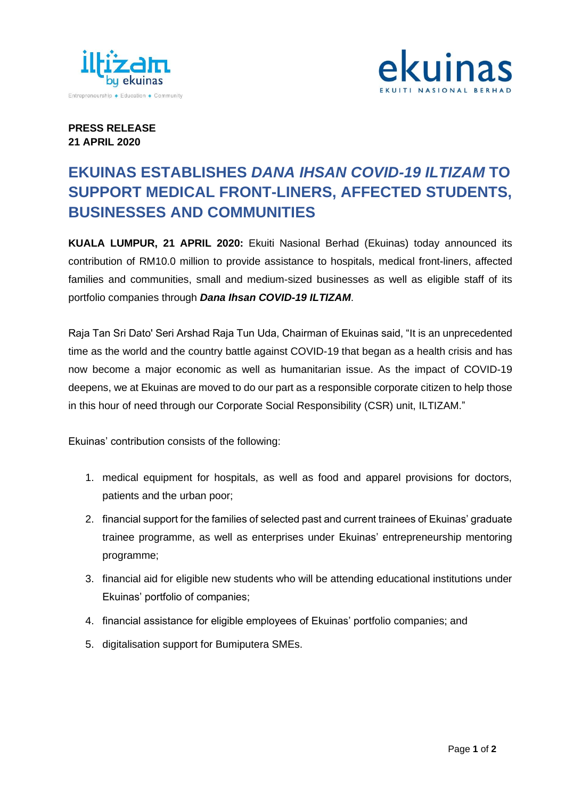



## **PRESS RELEASE 21 APRIL 2020**

## **EKUINAS ESTABLISHES** *DANA IHSAN COVID-19 ILTIZAM* **TO SUPPORT MEDICAL FRONT-LINERS, AFFECTED STUDENTS, BUSINESSES AND COMMUNITIES**

**KUALA LUMPUR, 21 APRIL 2020:** Ekuiti Nasional Berhad (Ekuinas) today announced its contribution of RM10.0 million to provide assistance to hospitals, medical front-liners, affected families and communities, small and medium-sized businesses as well as eligible staff of its portfolio companies through *Dana Ihsan COVID-19 ILTIZAM*.

Raja Tan Sri Dato' Seri Arshad Raja Tun Uda, Chairman of Ekuinas said, "It is an unprecedented time as the world and the country battle against COVID-19 that began as a health crisis and has now become a major economic as well as humanitarian issue. As the impact of COVID-19 deepens, we at Ekuinas are moved to do our part as a responsible corporate citizen to help those in this hour of need through our Corporate Social Responsibility (CSR) unit, ILTIZAM."

Ekuinas' contribution consists of the following:

- 1. medical equipment for hospitals, as well as food and apparel provisions for doctors, patients and the urban poor;
- 2. financial support for the families of selected past and current trainees of Ekuinas' graduate trainee programme, as well as enterprises under Ekuinas' entrepreneurship mentoring programme;
- 3. financial aid for eligible new students who will be attending educational institutions under Ekuinas' portfolio of companies;
- 4. financial assistance for eligible employees of Ekuinas' portfolio companies; and
- 5. digitalisation support for Bumiputera SMEs.